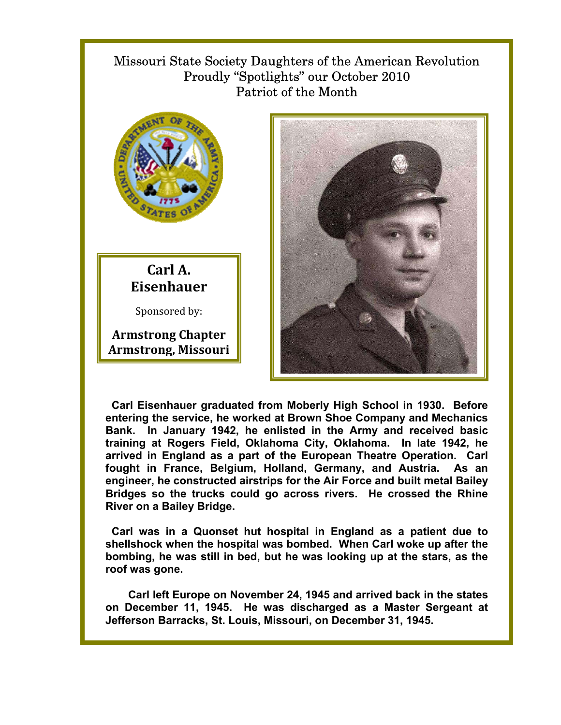## Missouri State Society Daughters of the American Revolution Proudly "Spotlights" our October 2010 Patriot of the Month



## **Carl A. Eisenhauer**

Sponsored by:

**Armstrong Chapter Armstrong, Missouri**



 **Carl Eisenhauer graduated from Moberly High School in 1930. Before entering the service, he worked at Brown Shoe Company and Mechanics Bank. In January 1942, he enlisted in the Army and received basic training at Rogers Field, Oklahoma City, Oklahoma. In late 1942, he arrived in England as a part of the European Theatre Operation. Carl fought in France, Belgium, Holland, Germany, and Austria. As an engineer, he constructed airstrips for the Air Force and built metal Bailey Bridges so the trucks could go across rivers. He crossed the Rhine River on a Bailey Bridge.** 

 **Carl was in a Quonset hut hospital in England as a patient due to shellshock when the hospital was bombed. When Carl woke up after the bombing, he was still in bed, but he was looking up at the stars, as the roof was gone.** 

 **Carl left Europe on November 24, 1945 and arrived back in the states on December 11, 1945. He was discharged as a Master Sergeant at Jefferson Barracks, St. Louis, Missouri, on December 31, 1945.**